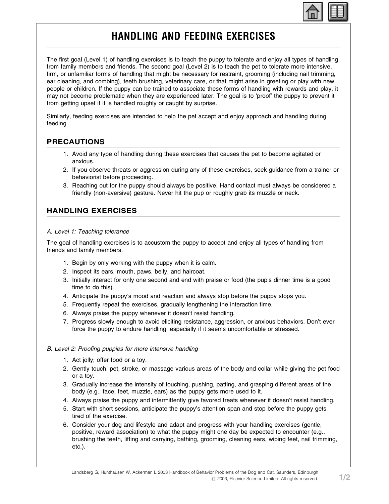

# HANDLING AND FEEDING EXERCISES

The first goal (Level 1) of handling exercises is to teach the puppy to tolerate and enjoy all types of handling from family members and friends. The second goal (Level 2) is to teach the pet to tolerate more intensive, firm, or unfamiliar forms of handling that might be necessary for restraint, grooming (including nail trimming, ear cleaning, and combing), teeth brushing, veterinary care, or that might arise in greeting or play with new people or children. If the puppy can be trained to associate these forms of handling with rewards and play, it may not become problematic when they are experienced later. The goal is to 'proof' the puppy to prevent it from getting upset if it is handled roughly or caught by surprise.

Similarly, feeding exercises are intended to help the pet accept and enjoy approach and handling during feeding.

## PRECAUTIONS

- 1. Avoid any type of handling during these exercises that causes the pet to become agitated or anxious.
- 2. If you observe threats or aggression during any of these exercises, seek guidance from a trainer or behaviorist before proceeding.
- 3. Reaching out for the puppy should always be positive. Hand contact must always be considered a friendly (non-aversive) gesture. Never hit the pup or roughly grab its muzzle or neck.

## HANDLING EXERCISES

#### A. Level 1: Teaching tolerance

The goal of handling exercises is to accustom the puppy to accept and enjoy all types of handling from friends and family members.

- 1. Begin by only working with the puppy when it is calm.
- 2. Inspect its ears, mouth, paws, belly, and haircoat.
- 3. Initially interact for only one second and end with praise or food (the pup's dinner time is a good time to do this).
- 4. Anticipate the puppy's mood and reaction and always stop before the puppy stops you.
- 5. Frequently repeat the exercises, gradually lengthening the interaction time.
- 6. Always praise the puppy whenever it doesn't resist handling.
- 7. Progress slowly enough to avoid eliciting resistance, aggression, or anxious behaviors. Don't ever force the puppy to endure handling, especially if it seems uncomfortable or stressed.

### B. Level 2: Proofing puppies for more intensive handling

- 1. Act jolly; offer food or a toy.
- 2. Gently touch, pet, stroke, or massage various areas of the body and collar while giving the pet food or a toy.
- 3. Gradually increase the intensity of touching, pushing, patting, and grasping different areas of the body (e.g., face, feet, muzzle, ears) as the puppy gets more used to it.
- 4. Always praise the puppy and intermittently give favored treats whenever it doesn't resist handling.
- 5. Start with short sessions, anticipate the puppy's attention span and stop before the puppy gets tired of the exercise.
- 6. Consider your dog and lifestyle and adapt and progress with your handling exercises (gentle, positive, reward association) to what the puppy might one day be expected to encounter (e.g., brushing the teeth, lifting and carrying, bathing, grooming, cleaning ears, wiping feet, nail trimming, etc.).